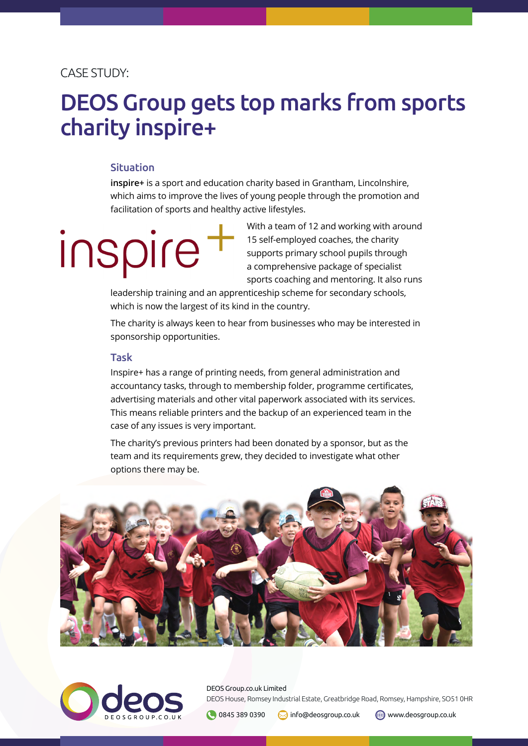### CASE STUDY:

## DEOS Group gets top marks from sports charity inspire+

#### Situation

**inspire+** is a sport and education charity based in Grantham, Lincolnshire, which aims to improve the lives of young people through the promotion and facilitation of sports and healthy active lifestyles.

# Inspire

With a team of 12 and working with around 15 self-employed coaches, the charity supports primary school pupils through a comprehensive package of specialist sports coaching and mentoring. It also runs

leadership training and an apprenticeship scheme for secondary schools, which is now the largest of its kind in the country.

The charity is always keen to hear from businesses who may be interested in sponsorship opportunities.

#### Task

Inspire+ has a range of printing needs, from general administration and accountancy tasks, through to membership folder, programme certificates, advertising materials and other vital paperwork associated with its services. This means reliable printers and the backup of an experienced team in the case of any issues is very important.

The charity's previous printers had been donated by a sponsor, but as the team and its requirements grew, they decided to investigate what other options there may be.





DEOS Group.co.uk Limited DEOS House, Romsey Industrial Estate, Greatbridge Road, Romsey, Hampshire, SO51 0HR